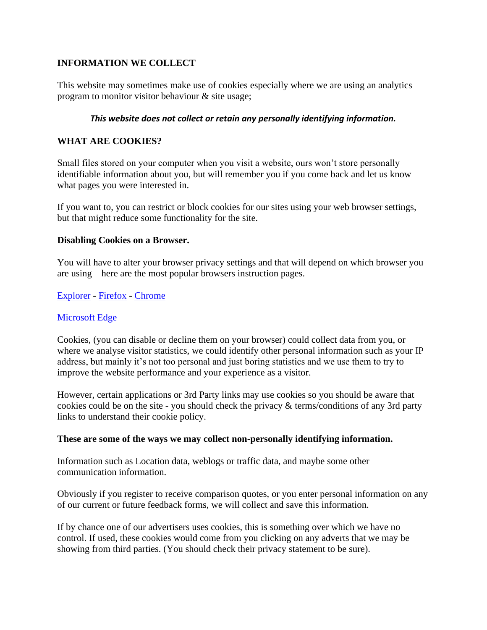# **INFORMATION WE COLLECT**

This website may sometimes make use of cookies especially where we are using an analytics program to monitor visitor behaviour & site usage;

## *This website does not collect or retain any personally identifying information.*

## **WHAT ARE COOKIES?**

Small files stored on your computer when you visit a website, ours won't store personally identifiable information about you, but will remember you if you come back and let us know what pages you were interested in.

If you want to, you can restrict or block cookies for our sites using your web browser settings, but that might reduce some functionality for the site.

## **Disabling Cookies on a Browser.**

You will have to alter your browser privacy settings and that will depend on which browser you are using – here are the most popular browsers instruction pages.

[Explorer](https://support.microsoft.com/en-us/windows?ui=en-US&rs=en-US&ad=US) - [Firefox](https://support.mozilla.org/en-US/kb/block-websites-storing-cookies-site-data-firefox?e=es&redirectlocale=en-US&as=s&s=cookies&r=3&redirectslug=block-websites-storing-site-preferences) - [Chrome](https://support.google.com/chrome/answer/95647?hl=en&topic=14666&ctx=topic)

## [Microsoft Edge](https://support.microsoft.com/en-us/search?query=disable%20cookies%20in%20microsoft%20edge)

Cookies, (you can disable or decline them on your browser) could collect data from you, or where we analyse visitor statistics, we could identify other personal information such as your IP address, but mainly it's not too personal and just boring statistics and we use them to try to improve the website performance and your experience as a visitor.

However, certain applications or 3rd Party links may use cookies so you should be aware that cookies could be on the site - you should check the privacy & terms/conditions of any 3rd party links to understand their cookie policy.

#### **These are some of the ways we may collect non-personally identifying information.**

Information such as Location data, weblogs or traffic data, and maybe some other communication information.

Obviously if you register to receive comparison quotes, or you enter personal information on any of our current or future feedback forms, we will collect and save this information.

If by chance one of our advertisers uses cookies, this is something over which we have no control. If used, these cookies would come from you clicking on any adverts that we may be showing from third parties. (You should check their privacy statement to be sure).